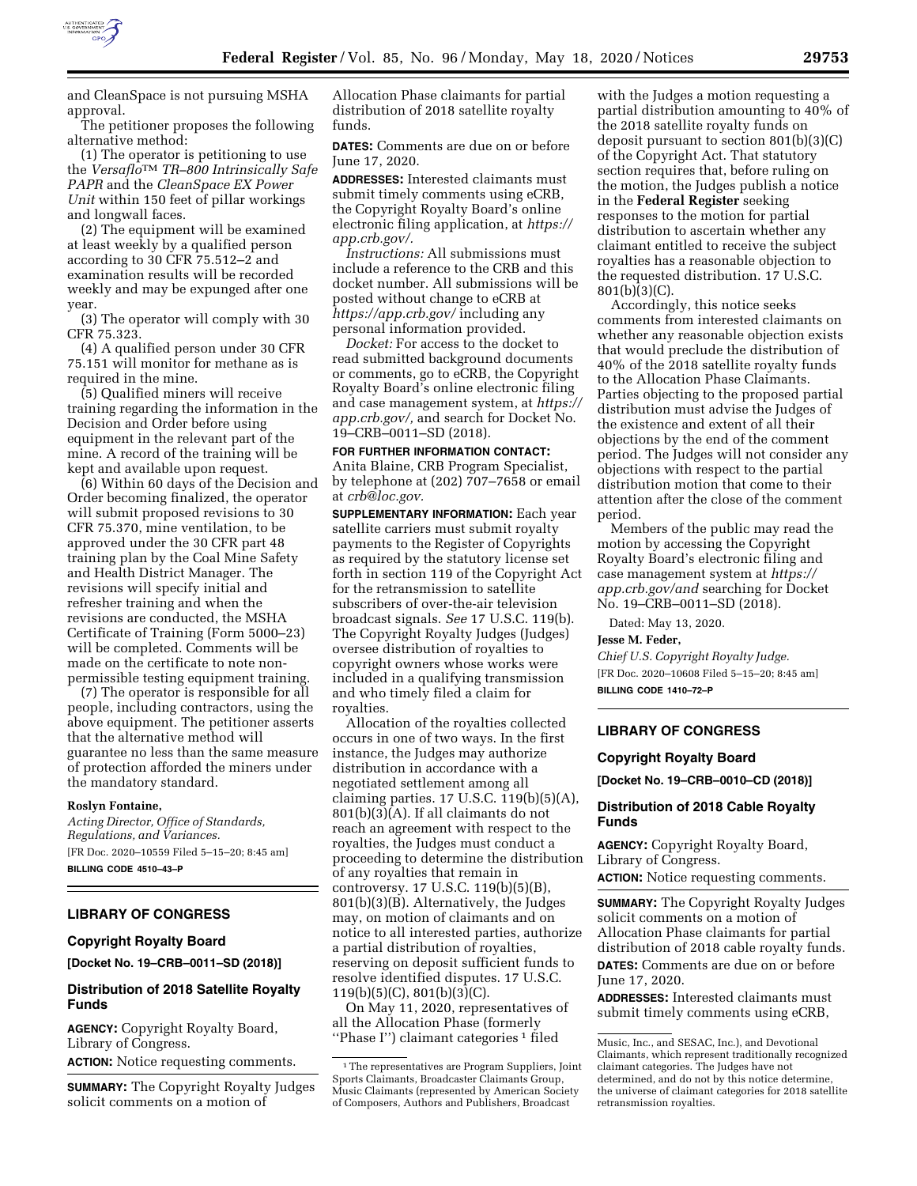

and CleanSpace is not pursuing MSHA approval.

The petitioner proposes the following alternative method:

(1) The operator is petitioning to use the *Versaflo*TM *TR–800 Intrinsically Safe PAPR* and the *CleanSpace EX Power Unit* within 150 feet of pillar workings and longwall faces.

(2) The equipment will be examined at least weekly by a qualified person according to 30 CFR 75.512–2 and examination results will be recorded weekly and may be expunged after one year.

(3) The operator will comply with 30 CFR 75.323.

(4) A qualified person under 30 CFR 75.151 will monitor for methane as is required in the mine.

(5) Qualified miners will receive training regarding the information in the Decision and Order before using equipment in the relevant part of the mine. A record of the training will be kept and available upon request.

(6) Within 60 days of the Decision and Order becoming finalized, the operator will submit proposed revisions to 30 CFR 75.370, mine ventilation, to be approved under the 30 CFR part 48 training plan by the Coal Mine Safety and Health District Manager. The revisions will specify initial and refresher training and when the revisions are conducted, the MSHA Certificate of Training (Form 5000–23) will be completed. Comments will be made on the certificate to note nonpermissible testing equipment training.

(7) The operator is responsible for all people, including contractors, using the above equipment. The petitioner asserts that the alternative method will guarantee no less than the same measure of protection afforded the miners under the mandatory standard.

#### **Roslyn Fontaine,**

*Acting Director, Office of Standards, Regulations, and Variances.*  [FR Doc. 2020–10559 Filed 5–15–20; 8:45 am] **BILLING CODE 4510–43–P** 

# **LIBRARY OF CONGRESS**

## **Copyright Royalty Board**

**[Docket No. 19–CRB–0011–SD (2018)]** 

## **Distribution of 2018 Satellite Royalty Funds**

**AGENCY:** Copyright Royalty Board, Library of Congress. **ACTION:** Notice requesting comments.

**SUMMARY:** The Copyright Royalty Judges solicit comments on a motion of

Allocation Phase claimants for partial distribution of 2018 satellite royalty funds.

**DATES:** Comments are due on or before June 17, 2020.

**ADDRESSES:** Interested claimants must submit timely comments using eCRB, the Copyright Royalty Board's online electronic filing application, at *[https://](https://app.crb.gov/) [app.crb.gov/.](https://app.crb.gov/)* 

*Instructions:* All submissions must include a reference to the CRB and this docket number. All submissions will be posted without change to eCRB at *<https://app.crb.gov/>* including any personal information provided.

*Docket:* For access to the docket to read submitted background documents or comments, go to eCRB, the Copyright Royalty Board's online electronic filing and case management system, at *[https://](https://app.crb.gov/)  [app.crb.gov/,](https://app.crb.gov/)* and search for Docket No. 19–CRB–0011–SD (2018).

# **FOR FURTHER INFORMATION CONTACT:**

Anita Blaine, CRB Program Specialist, by telephone at (202) 707–7658 or email at *[crb@loc.gov.](mailto:crb@loc.gov)* 

**SUPPLEMENTARY INFORMATION:** Each year satellite carriers must submit royalty payments to the Register of Copyrights as required by the statutory license set forth in section 119 of the Copyright Act for the retransmission to satellite subscribers of over-the-air television broadcast signals. *See* 17 U.S.C. 119(b). The Copyright Royalty Judges (Judges) oversee distribution of royalties to copyright owners whose works were included in a qualifying transmission and who timely filed a claim for royalties.

Allocation of the royalties collected occurs in one of two ways. In the first instance, the Judges may authorize distribution in accordance with a negotiated settlement among all claiming parties. 17 U.S.C. 119(b)(5)(A), 801(b)(3)(A). If all claimants do not reach an agreement with respect to the royalties, the Judges must conduct a proceeding to determine the distribution of any royalties that remain in controversy. 17 U.S.C. 119(b)(5)(B), 801(b)(3)(B). Alternatively, the Judges may, on motion of claimants and on notice to all interested parties, authorize a partial distribution of royalties, reserving on deposit sufficient funds to resolve identified disputes. 17 U.S.C. 119(b)(5)(C), 801(b)(3)(C).

On May 11, 2020, representatives of all the Allocation Phase (formerly "Phase I") claimant categories<sup>1</sup> filed

with the Judges a motion requesting a partial distribution amounting to 40% of the 2018 satellite royalty funds on deposit pursuant to section 801(b)(3)(C) of the Copyright Act. That statutory section requires that, before ruling on the motion, the Judges publish a notice in the **Federal Register** seeking responses to the motion for partial distribution to ascertain whether any claimant entitled to receive the subject royalties has a reasonable objection to the requested distribution. 17 U.S.C. 801(b)(3)(C).

Accordingly, this notice seeks comments from interested claimants on whether any reasonable objection exists that would preclude the distribution of 40% of the 2018 satellite royalty funds to the Allocation Phase Claimants. Parties objecting to the proposed partial distribution must advise the Judges of the existence and extent of all their objections by the end of the comment period. The Judges will not consider any objections with respect to the partial distribution motion that come to their attention after the close of the comment period.

Members of the public may read the motion by accessing the Copyright Royalty Board's electronic filing and case management system at *[https://](https://app.crb.gov/and) [app.crb.gov/and](https://app.crb.gov/and)* searching for Docket No. 19–CRB–0011–SD (2018).

Dated: May 13, 2020.

#### **Jesse M. Feder,**

*Chief U.S. Copyright Royalty Judge.*  [FR Doc. 2020–10608 Filed 5–15–20; 8:45 am] **BILLING CODE 1410–72–P** 

# **LIBRARY OF CONGRESS**

#### **Copyright Royalty Board**

**[Docket No. 19–CRB–0010–CD (2018)]** 

## **Distribution of 2018 Cable Royalty Funds**

**AGENCY:** Copyright Royalty Board, Library of Congress. **ACTION:** Notice requesting comments.

**SUMMARY:** The Copyright Royalty Judges solicit comments on a motion of Allocation Phase claimants for partial distribution of 2018 cable royalty funds. **DATES:** Comments are due on or before June 17, 2020.

**ADDRESSES:** Interested claimants must submit timely comments using eCRB,

<sup>&</sup>lt;sup>1</sup>The representatives are Program Suppliers, Joint Sports Claimants, Broadcaster Claimants Group, Music Claimants (represented by American Society of Composers, Authors and Publishers, Broadcast

Music, Inc., and SESAC, Inc.), and Devotional Claimants, which represent traditionally recognized claimant categories. The Judges have not determined, and do not by this notice determine, the universe of claimant categories for 2018 satellite retransmission royalties.